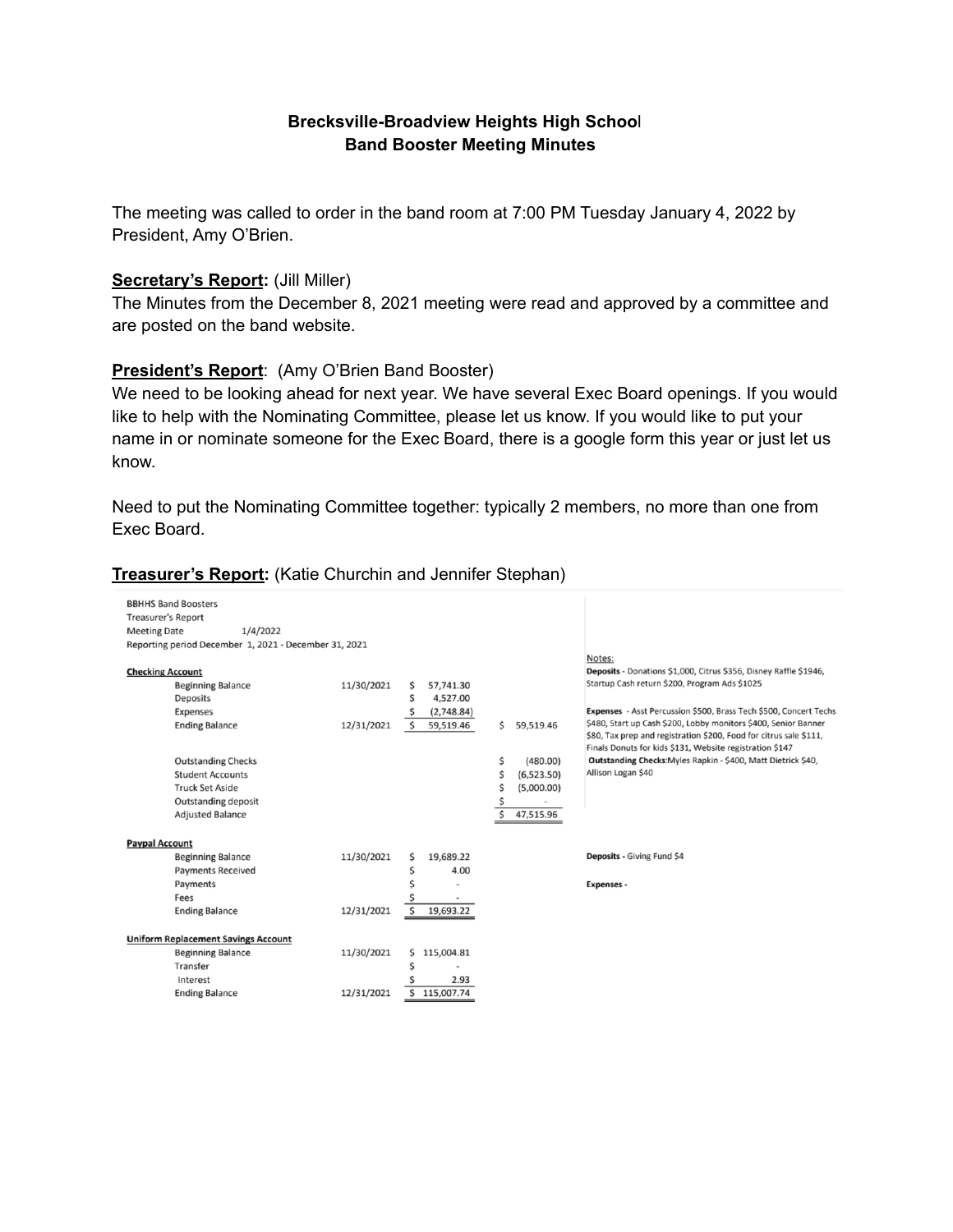### **Brecksville-Broadview Heights High Schoo**l **Band Booster Meeting Minutes**

The meeting was called to order in the band room at 7:00 PM Tuesday January 4, 2022 by President, Amy O'Brien.

#### **Secretary's Report:** (Jill Miller)

The Minutes from the December 8, 2021 meeting were read and approved by a committee and are posted on the band website.

### **President's Report**: (Amy O'Brien Band Booster)

We need to be looking ahead for next year. We have several Exec Board openings. If you would like to help with the Nominating Committee, please let us know. If you would like to put your name in or nominate someone for the Exec Board, there is a google form this year or just let us know.

Need to put the Nominating Committee together: typically 2 members, no more than one from Exec Board.

| Treasurer's Report: (Katie Churchin and Jennifer Stephan) |  |  |  |  |
|-----------------------------------------------------------|--|--|--|--|
|-----------------------------------------------------------|--|--|--|--|

| <b>BBHHS Band Boosters</b><br><b>Treasurer's Report</b><br>1/4/2022<br><b>Meeting Date</b><br>Reporting period December 1, 2021 - December 31, 2021 |                                                                                                                | Notes:                                                                                                                                                                                                                                                                                                                                                                                       |
|-----------------------------------------------------------------------------------------------------------------------------------------------------|----------------------------------------------------------------------------------------------------------------|----------------------------------------------------------------------------------------------------------------------------------------------------------------------------------------------------------------------------------------------------------------------------------------------------------------------------------------------------------------------------------------------|
| <b>Checking Account</b><br><b>Beginning Balance</b><br>Deposits<br>Expenses<br><b>Ending Balance</b>                                                | 11/30/2021<br>57,741.30<br>ς<br>4,527.00<br>Ś<br>(2,748.84)<br>Ś<br>\$<br>59,519.46<br>12/31/2021<br>59,519.46 | Deposits - Donations \$1,000, Citrus \$356, Disney Raffle \$1946,<br>Startup Cash return \$200, Program Ads \$1025<br>Expenses - Asst Percussion \$500, Brass Tech \$500, Concert Techs<br>\$480, Start up Cash \$200, Lobby monitors \$400, Senior Banner<br>\$80, Tax prep and registration \$200, Food for citrus sale \$111,<br>Finals Donuts for kids \$131, Website registration \$147 |
| <b>Outstanding Checks</b><br><b>Student Accounts</b><br><b>Truck Set Aside</b><br>Outstanding deposit<br><b>Adjusted Balance</b>                    | Ś<br>(480.00)<br>Ś<br>(6,523.50)<br>(5,000.00)<br>Ś<br>47,515.96                                               | Outstanding Checks: Myles Rapkin - \$400, Matt Dietrick \$40,<br>Allison Logan \$40                                                                                                                                                                                                                                                                                                          |
| <b>Paypal Account</b><br><b>Beginning Balance</b><br><b>Payments Received</b><br>Payments<br>Fees<br><b>Ending Balance</b>                          | 11/30/2021<br>19,689.22<br>Ś<br>4.00<br>12/31/2021<br>Ś<br>19,693.22                                           | Deposits - Giving Fund \$4<br><b>Expenses -</b>                                                                                                                                                                                                                                                                                                                                              |
| <b>Uniform Replacement Savings Account</b><br><b>Beginning Balance</b><br>Transfer<br>Interest<br><b>Ending Balance</b>                             | 11/30/2021<br>115,004.81<br>Ś<br>2.93<br>12/31/2021<br>ς<br>115,007.74                                         |                                                                                                                                                                                                                                                                                                                                                                                              |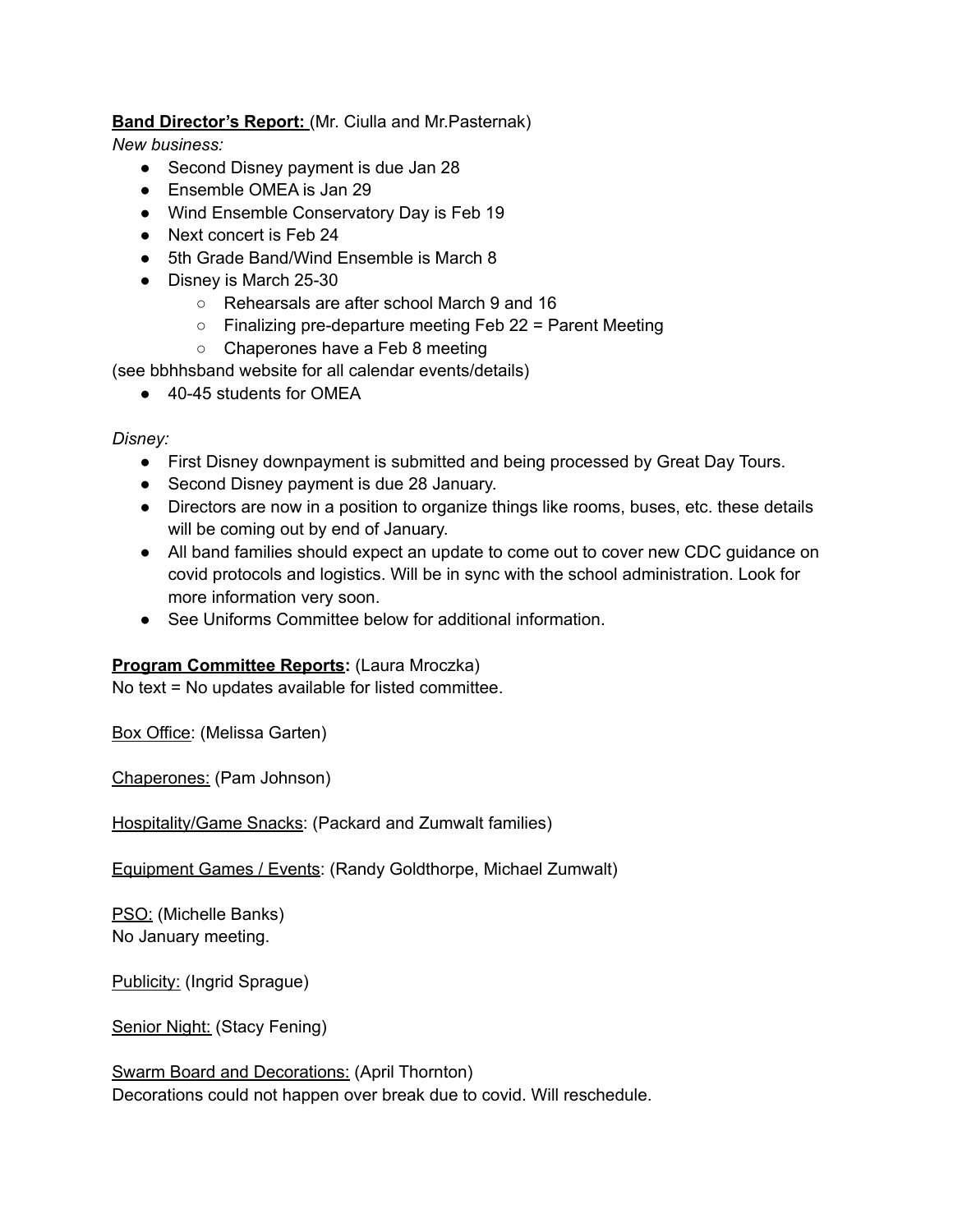# **Band Director's Report:** (Mr. Ciulla and Mr.Pasternak)

*New business:*

- Second Disney payment is due Jan 28
- Ensemble OMEA is Jan 29
- Wind Ensemble Conservatory Day is Feb 19
- Next concert is Feb 24
- 5th Grade Band/Wind Ensemble is March 8
- Disney is March 25-30
	- Rehearsals are after school March 9 and 16
	- Finalizing pre-departure meeting Feb 22 = Parent Meeting
	- Chaperones have a Feb 8 meeting

(see bbhhsband website for all calendar events/details)

● 40-45 students for OMEA

### *Disney:*

- First Disney downpayment is submitted and being processed by Great Day Tours.
- Second Disney payment is due 28 January.
- Directors are now in a position to organize things like rooms, buses, etc. these details will be coming out by end of January.
- All band families should expect an update to come out to cover new CDC guidance on covid protocols and logistics. Will be in sync with the school administration. Look for more information very soon.
- See Uniforms Committee below for additional information

# **Program Committee Reports:** (Laura Mroczka)

No text = No updates available for listed committee.

Box Office: (Melissa Garten)

Chaperones: (Pam Johnson)

Hospitality/Game Snacks: (Packard and Zumwalt families)

Equipment Games / Events: (Randy Goldthorpe, Michael Zumwalt)

PSO: (Michelle Banks) No January meeting.

Publicity: (Ingrid Sprague)

Senior Night: (Stacy Fening)

Swarm Board and Decorations: (April Thornton) Decorations could not happen over break due to covid. Will reschedule.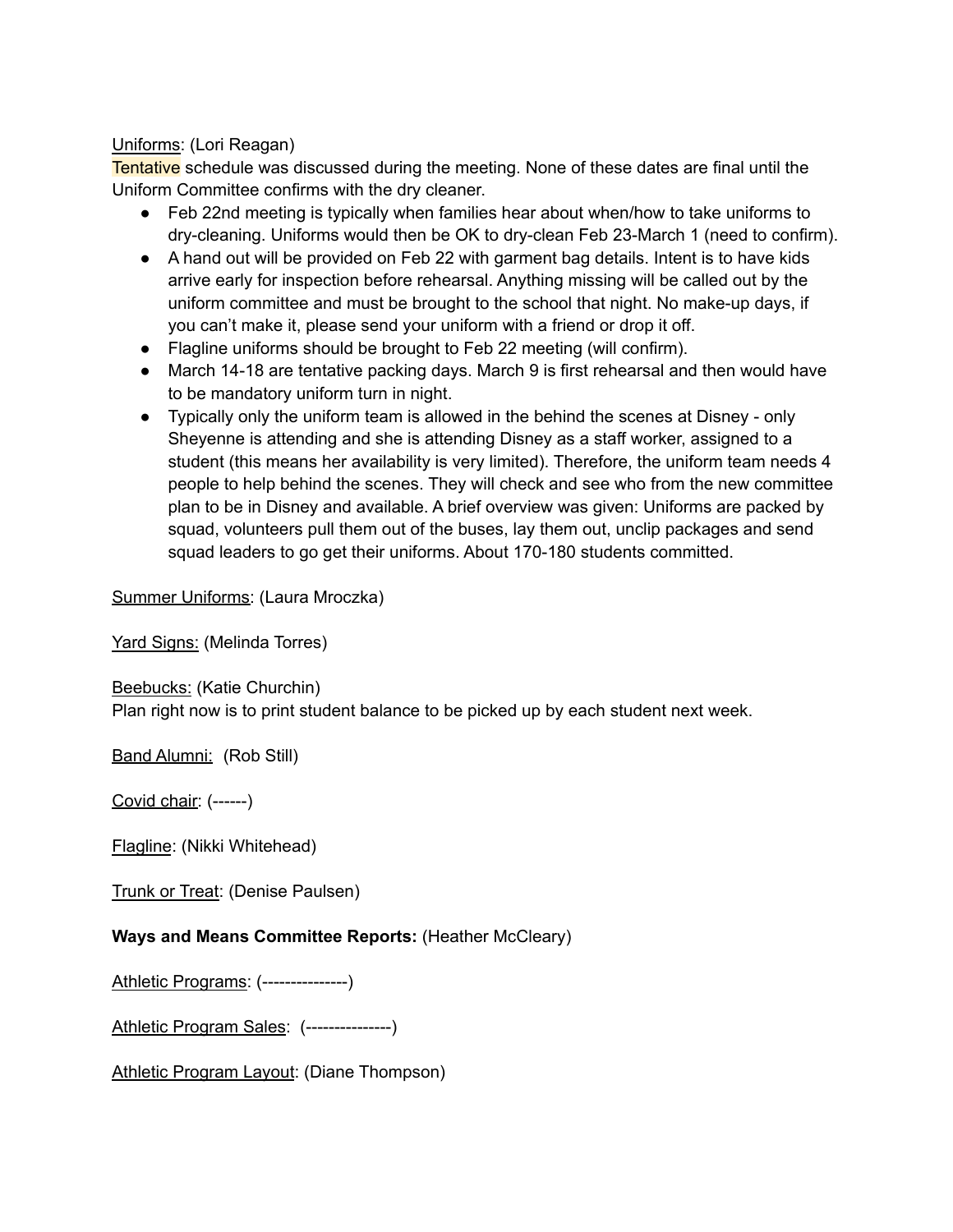## Uniforms: (Lori Reagan)

Tentative schedule was discussed during the meeting. None of these dates are final until the Uniform Committee confirms with the dry cleaner.

- Feb 22nd meeting is typically when families hear about when/how to take uniforms to dry-cleaning. Uniforms would then be OK to dry-clean Feb 23-March 1 (need to confirm).
- A hand out will be provided on Feb 22 with garment bag details. Intent is to have kids arrive early for inspection before rehearsal. Anything missing will be called out by the uniform committee and must be brought to the school that night. No make-up days, if you can't make it, please send your uniform with a friend or drop it off.
- Flagline uniforms should be brought to Feb 22 meeting (will confirm).
- March 14-18 are tentative packing days. March 9 is first rehearsal and then would have to be mandatory uniform turn in night.
- Typically only the uniform team is allowed in the behind the scenes at Disney only Sheyenne is attending and she is attending Disney as a staff worker, assigned to a student (this means her availability is very limited). Therefore, the uniform team needs 4 people to help behind the scenes. They will check and see who from the new committee plan to be in Disney and available. A brief overview was given: Uniforms are packed by squad, volunteers pull them out of the buses, lay them out, unclip packages and send squad leaders to go get their uniforms. About 170-180 students committed.

Summer Uniforms: (Laura Mroczka)

Yard Signs: (Melinda Torres)

Beebucks: (Katie Churchin)

Plan right now is to print student balance to be picked up by each student next week.

Band Alumni: (Rob Still)

Covid chair: (------)

Flagline: (Nikki Whitehead)

Trunk or Treat: (Denise Paulsen)

### **Ways and Means Committee Reports:** (Heather McCleary)

Athletic Programs: (---------------)

Athletic Program Sales: (---------------)

Athletic Program Layout: (Diane Thompson)